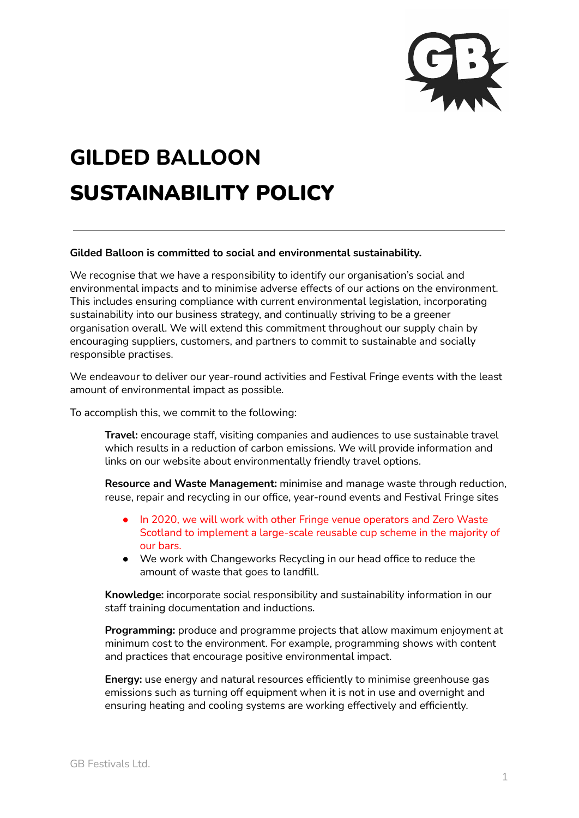

## **GILDED BALLOON** SUSTAINABILITY POLICY

## **Gilded Balloon is committed to social and environmental sustainability.**

We recognise that we have a responsibility to identify our organisation's social and environmental impacts and to minimise adverse effects of our actions on the environment. This includes ensuring compliance with current environmental legislation, incorporating sustainability into our business strategy, and continually striving to be a greener organisation overall. We will extend this commitment throughout our supply chain by encouraging suppliers, customers, and partners to commit to sustainable and socially responsible practises.

We endeavour to deliver our year-round activities and Festival Fringe events with the least amount of environmental impact as possible.

To accomplish this, we commit to the following:

**Travel:** encourage staff, visiting companies and audiences to use sustainable travel which results in a reduction of carbon emissions. We will provide information and links on our website about environmentally friendly travel options.

**Resource and Waste Management:** minimise and manage waste through reduction, reuse, repair and recycling in our office, year-round events and Festival Fringe sites

- In 2020, we will work with other Fringe venue operators and Zero Waste Scotland to implement a large-scale reusable cup scheme in the majority of our bars.
- We work with Changeworks Recycling in our head office to reduce the amount of waste that goes to landfill.

**Knowledge:** incorporate social responsibility and sustainability information in our staff training documentation and inductions.

**Programming:** produce and programme projects that allow maximum enjoyment at minimum cost to the environment. For example, programming shows with content and practices that encourage positive environmental impact.

**Energy:** use energy and natural resources efficiently to minimise greenhouse gas emissions such as turning off equipment when it is not in use and overnight and ensuring heating and cooling systems are working effectively and efficiently.